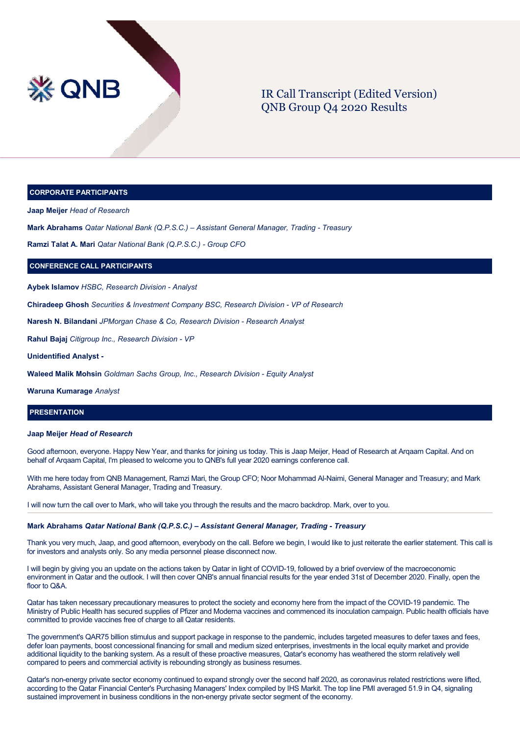

# IR Call Transcript (Edited Version) QNB Group Q4 2020 Results

### **CORPORATE PARTICIPANTS**

**Jaap Meijer** *Head of Research*

**Mark Abrahams** *Qatar National Bank (Q.P.S.C.) – Assistant General Manager, Trading - Treasury*

**Ramzi Talat A. Mari** *Qatar National Bank (Q.P.S.C.) - Group CFO*

## **CONFERENCE CALL PARTICIPANTS**

**Aybek Islamov** *HSBC, Research Division - Analyst*

**Chiradeep Ghosh** *Securities & Investment Company BSC, Research Division - VP of Research*

**Naresh N. Bilandani** *JPMorgan Chase & Co, Research Division - Research Analyst*

**Rahul Bajaj** *Citigroup Inc., Research Division - VP*

**Unidentified Analyst -**

**Waleed Malik Mohsin** *Goldman Sachs Group, Inc., Research Division - Equity Analyst*

**Waruna Kumarage** *Analyst*

## **PRESENTATION**

### **Jaap Meijer** *Head of Research*

Good afternoon, everyone. Happy New Year, and thanks for joining us today. This is Jaap Meijer, Head of Research at Arqaam Capital. And on behalf of Arqaam Capital, I'm pleased to welcome you to QNB's full year 2020 earnings conference call.

With me here today from QNB Management, Ramzi Mari, the Group CFO; Noor Mohammad Al-Naimi, General Manager and Treasury; and Mark Abrahams, Assistant General Manager, Trading and Treasury.

I will now turn the call over to Mark, who will take you through the results and the macro backdrop. Mark, over to you.

## **Mark Abrahams** *Qatar National Bank (Q.P.S.C.) – Assistant General Manager, Trading - Treasury*

Thank you very much, Jaap, and good afternoon, everybody on the call. Before we begin, I would like to just reiterate the earlier statement. This call is for investors and analysts only. So any media personnel please disconnect now.

I will begin by giving you an update on the actions taken by Qatar in light of COVID-19, followed by a brief overview of the macroeconomic environment in Qatar and the outlook. I will then cover QNB's annual financial results for the year ended 31st of December 2020. Finally, open the floor to Q&A.

Qatar has taken necessary precautionary measures to protect the society and economy here from the impact of the COVID-19 pandemic. The Ministry of Public Health has secured supplies of Pfizer and Moderna vaccines and commenced its inoculation campaign. Public health officials have committed to provide vaccines free of charge to all Qatar residents.

The government's QAR75 billion stimulus and support package in response to the pandemic, includes targeted measures to defer taxes and fees, defer loan payments, boost concessional financing for small and medium sized enterprises, investments in the local equity market and provide additional liquidity to the banking system. As a result of these proactive measures, Qatar's economy has weathered the storm relatively well compared to peers and commercial activity is rebounding strongly as business resumes.

Qatar's non-energy private sector economy continued to expand strongly over the second half 2020, as coronavirus related restrictions were lifted, according to the Qatar Financial Center's Purchasing Managers' Index compiled by IHS Markit. The top line PMI averaged 51.9 in Q4, signaling sustained improvement in business conditions in the non-energy private sector segment of the economy.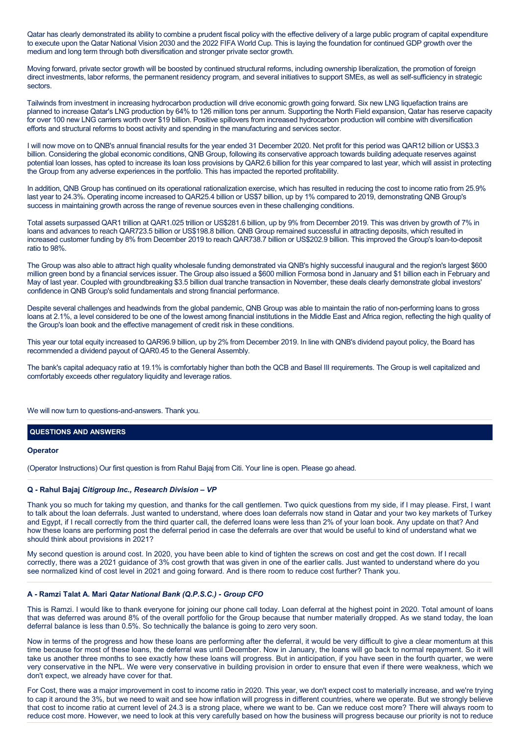Qatar has clearly demonstrated its ability to combine a prudent fiscal policy with the effective delivery of a large public program of capital expenditure to execute upon the Qatar National Vision 2030 and the 2022 FIFA World Cup. This is laying the foundation for continued GDP growth over the medium and long term through both diversification and stronger private sector growth.

Moving forward, private sector growth will be boosted by continued structural reforms, including ownership liberalization, the promotion of foreign direct investments, labor reforms, the permanent residency program, and several initiatives to support SMEs, as well as self-sufficiency in strategic sectors.

Tailwinds from investment in increasing hydrocarbon production will drive economic growth going forward. Six new LNG liquefaction trains are planned to increase Qatar's LNG production by 64% to 126 million tons per annum. Supporting the North Field expansion, Qatar has reserve capacity for over 100 new LNG carriers worth over \$19 billion. Positive spillovers from increased hydrocarbon production will combine with diversification efforts and structural reforms to boost activity and spending in the manufacturing and services sector.

I will now move on to QNB's annual financial results for the year ended 31 December 2020. Net profit for this period was QAR12 billion or US\$3.3 billion. Considering the global economic conditions, QNB Group, following its conservative approach towards building adequate reserves against potential loan losses, has opted to increase its loan loss provisions by QAR2.6 billion for this year compared to last year, which will assist in protecting the Group from any adverse experiences in the portfolio. This has impacted the reported profitability.

In addition, QNB Group has continued on its operational rationalization exercise, which has resulted in reducing the cost to income ratio from 25.9% last year to 24.3%. Operating income increased to QAR25.4 billion or US\$7 billion, up by 1% compared to 2019, demonstrating QNB Group's success in maintaining growth across the range of revenue sources even in these challenging conditions.

Total assets surpassed QAR1 trillion at QAR1.025 trillion or US\$281.6 billion, up by 9% from December 2019. This was driven by growth of 7% in loans and advances to reach QAR723.5 billion or US\$198.8 billion. QNB Group remained successful in attracting deposits, which resulted in increased customer funding by 8% from December 2019 to reach QAR738.7 billion or US\$202.9 billion. This improved the Group's loan-to-deposit ratio to 98%.

The Group was also able to attract high quality wholesale funding demonstrated via QNB's highly successful inaugural and the region's largest \$600 million green bond by a financial services issuer. The Group also issued a \$600 million Formosa bond in January and \$1 billion each in February and May of last year. Coupled with groundbreaking \$3.5 billion dual tranche transaction in November, these deals clearly demonstrate global investors' confidence in QNB Group's solid fundamentals and strong financial performance.

Despite several challenges and headwinds from the global pandemic, QNB Group was able to maintain the ratio of non-performing loans to gross loans at 2.1%, a level considered to be one of the lowest among financial institutions in the Middle East and Africa region, reflecting the high quality of the Group's loan book and the effective management of credit risk in these conditions.

This year our total equity increased to QAR96.9 billion, up by 2% from December 2019. In line with QNB's dividend payout policy, the Board has recommended a dividend payout of QAR0.45 to the General Assembly.

The bank's capital adequacy ratio at 19.1% is comfortably higher than both the QCB and Basel III requirements. The Group is well capitalized and comfortably exceeds other regulatory liquidity and leverage ratios.

We will now turn to questions-and-answers. Thank you.

## **QUESTIONS AND ANSWERS**

### **Operator**

(Operator Instructions) Our first question is from Rahul Bajaj from Citi. Your line is open. Please go ahead.

### **Q - Rahul Bajaj** *Citigroup Inc., Research Division – VP*

Thank you so much for taking my question, and thanks for the call gentlemen. Two quick questions from my side, if I may please. First, I want to talk about the loan deferrals. Just wanted to understand, where does loan deferrals now stand in Qatar and your two key markets of Turkey and Egypt, if I recall correctly from the third quarter call, the deferred loans were less than 2% of your loan book. Any update on that? And how these loans are performing post the deferral period in case the deferrals are over that would be useful to kind of understand what we should think about provisions in 2021?

My second question is around cost. In 2020, you have been able to kind of tighten the screws on cost and get the cost down. If I recall correctly, there was a 2021 guidance of 3% cost growth that was given in one of the earlier calls. Just wanted to understand where do you see normalized kind of cost level in 2021 and going forward. And is there room to reduce cost further? Thank you.

## **A - Ramzi Talat A. Mari** *Qatar National Bank (Q.P.S.C.) - Group CFO*

This is Ramzi. I would like to thank everyone for joining our phone call today. Loan deferral at the highest point in 2020. Total amount of loans that was deferred was around 8% of the overall portfolio for the Group because that number materially dropped. As we stand today, the loan deferral balance is less than 0.5%. So technically the balance is going to zero very soon.

Now in terms of the progress and how these loans are performing after the deferral, it would be very difficult to give a clear momentum at this time because for most of these loans, the deferral was until December. Now in January, the loans will go back to normal repayment. So it will take us another three months to see exactly how these loans will progress. But in anticipation, if you have seen in the fourth quarter, we were very conservative in the NPL. We were very conservative in building provision in order to ensure that even if there were weakness, which we don't expect, we already have cover for that.

For Cost, there was a major improvement in cost to income ratio in 2020. This year, we don't expect cost to materially increase, and we're trying to cap it around the 3%, but we need to wait and see how inflation will progress in different countries, where we operate. But we strongly believe that cost to income ratio at current level of 24.3 is a strong place, where we want to be. Can we reduce cost more? There will always room to reduce cost more. However, we need to look at this very carefully based on how the business will progress because our priority is not to reduce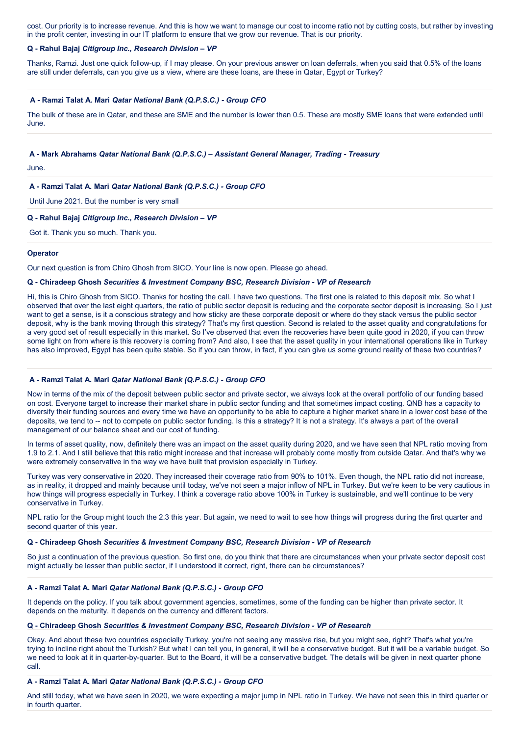cost. Our priority is to increase revenue. And this is how we want to manage our cost to income ratio not by cutting costs, but rather by investing in the profit center, investing in our IT platform to ensure that we grow our revenue. That is our priority.

### **Q - Rahul Bajaj** *Citigroup Inc., Research Division – VP*

Thanks, Ramzi. Just one quick follow-up, if I may please. On your previous answer on loan deferrals, when you said that 0.5% of the loans are still under deferrals, can you give us a view, where are these loans, are these in Qatar, Egypt or Turkey?

## **A - Ramzi Talat A. Mari** *Qatar National Bank (Q.P.S.C.) - Group CFO*

The bulk of these are in Qatar, and these are SME and the number is lower than 0.5. These are mostly SME loans that were extended until June.

### **A - Mark Abrahams** *Qatar National Bank (Q.P.S.C.) – Assistant General Manager, Trading - Treasury*

June.

## **A - Ramzi Talat A. Mari** *Qatar National Bank (Q.P.S.C.) - Group CFO*

Until June 2021. But the number is very small

## **Q - Rahul Bajaj** *Citigroup Inc., Research Division – VP*

Got it. Thank you so much. Thank you.

## **Operator**

Our next question is from Chiro Ghosh from SICO. Your line is now open. Please go ahead.

## **Q - Chiradeep Ghosh** *Securities & Investment Company BSC, Research Division - VP of Research*

Hi, this is Chiro Ghosh from SICO. Thanks for hosting the call. I have two questions. The first one is related to this deposit mix. So what I observed that over the last eight quarters, the ratio of public sector deposit is reducing and the corporate sector deposit is increasing. So I just want to get a sense, is it a conscious strategy and how sticky are these corporate deposit or where do they stack versus the public sector deposit, why is the bank moving through this strategy? That's my first question. Second is related to the asset quality and congratulations for a very good set of result especially in this market. So I've observed that even the recoveries have been quite good in 2020, if you can throw some light on from where is this recovery is coming from? And also, I see that the asset quality in your international operations like in Turkey has also improved, Egypt has been quite stable. So if you can throw, in fact, if you can give us some ground reality of these two countries?

## **A - Ramzi Talat A. Mari** *Qatar National Bank (Q.P.S.C.) - Group CFO*

Now in terms of the mix of the deposit between public sector and private sector, we always look at the overall portfolio of our funding based on cost. Everyone target to increase their market share in public sector funding and that sometimes impact costing. QNB has a capacity to diversify their funding sources and every time we have an opportunity to be able to capture a higher market share in a lower cost base of the deposits, we tend to -- not to compete on public sector funding. Is this a strategy? It is not a strategy. It's always a part of the overall management of our balance sheet and our cost of funding.

In terms of asset quality, now, definitely there was an impact on the asset quality during 2020, and we have seen that NPL ratio moving from 1.9 to 2.1. And I still believe that this ratio might increase and that increase will probably come mostly from outside Qatar. And that's why we were extremely conservative in the way we have built that provision especially in Turkey.

Turkey was very conservative in 2020. They increased their coverage ratio from 90% to 101%. Even though, the NPL ratio did not increase, as in reality, it dropped and mainly because until today, we've not seen a major inflow of NPL in Turkey. But we're keen to be very cautious in how things will progress especially in Turkey. I think a coverage ratio above 100% in Turkey is sustainable, and we'll continue to be very conservative in Turkey.

NPL ratio for the Group might touch the 2.3 this year. But again, we need to wait to see how things will progress during the first quarter and second quarter of this year.

## **Q - Chiradeep Ghosh** *Securities & Investment Company BSC, Research Division - VP of Research*

So just a continuation of the previous question. So first one, do you think that there are circumstances when your private sector deposit cost might actually be lesser than public sector, if I understood it correct, right, there can be circumstances?

## **A - Ramzi Talat A. Mari** *Qatar National Bank (Q.P.S.C.) - Group CFO*

It depends on the policy. If you talk about government agencies, sometimes, some of the funding can be higher than private sector. It depends on the maturity. It depends on the currency and different factors.

## **Q - Chiradeep Ghosh** *Securities & Investment Company BSC, Research Division - VP of Research*

Okay. And about these two countries especially Turkey, you're not seeing any massive rise, but you might see, right? That's what you're trying to incline right about the Turkish? But what I can tell you, in general, it will be a conservative budget. But it will be a variable budget. So we need to look at it in quarter-by-quarter. But to the Board, it will be a conservative budget. The details will be given in next quarter phone call.

### **A - Ramzi Talat A. Mari** *Qatar National Bank (Q.P.S.C.) - Group CFO*

And still today, what we have seen in 2020, we were expecting a major jump in NPL ratio in Turkey. We have not seen this in third quarter or in fourth quarter.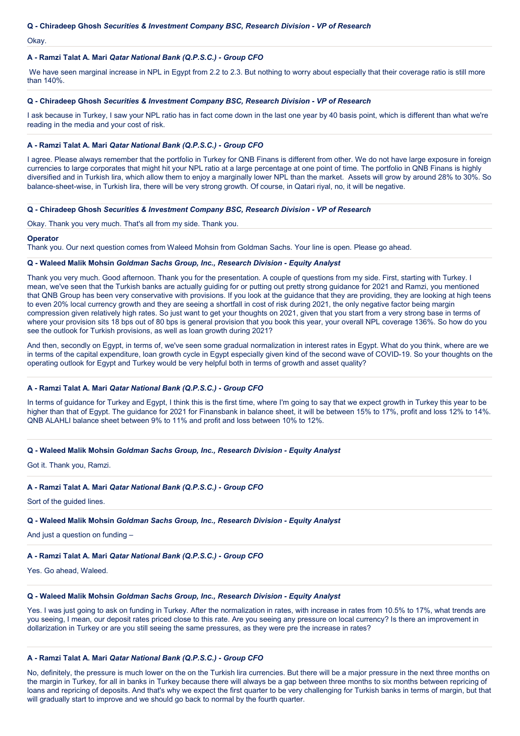## **Q - Chiradeep Ghosh** *Securities & Investment Company BSC, Research Division - VP of Research*

Okay.

## **A - Ramzi Talat A. Mari** *Qatar National Bank (Q.P.S.C.) - Group CFO*

We have seen marginal increase in NPL in Egypt from 2.2 to 2.3. But nothing to worry about especially that their coverage ratio is still more than 140%.

## **Q - Chiradeep Ghosh** *Securities & Investment Company BSC, Research Division - VP of Research*

I ask because in Turkey, I saw your NPL ratio has in fact come down in the last one year by 40 basis point, which is different than what we're reading in the media and your cost of risk.

### **A - Ramzi Talat A. Mari** *Qatar National Bank (Q.P.S.C.) - Group CFO*

I agree. Please always remember that the portfolio in Turkey for QNB Finans is different from other. We do not have large exposure in foreign currencies to large corporates that might hit your NPL ratio at a large percentage at one point of time. The portfolio in QNB Finans is highly diversified and in Turkish lira, which allow them to enjoy a marginally lower NPL than the market. Assets will grow by around 28% to 30%. So balance-sheet-wise, in Turkish lira, there will be very strong growth. Of course, in Qatari riyal, no, it will be negative.

## **Q - Chiradeep Ghosh** *Securities & Investment Company BSC, Research Division - VP of Research*

Okay. Thank you very much. That's all from my side. Thank you.

### **Operator**

Thank you. Our next question comes from Waleed Mohsin from Goldman Sachs. Your line is open. Please go ahead.

### **Q - Waleed Malik Mohsin** *Goldman Sachs Group, Inc., Research Division - Equity Analyst*

Thank you very much. Good afternoon. Thank you for the presentation. A couple of questions from my side. First, starting with Turkey. I mean, we've seen that the Turkish banks are actually guiding for or putting out pretty strong guidance for 2021 and Ramzi, you mentioned that QNB Group has been very conservative with provisions. If you look at the guidance that they are providing, they are looking at high teens to even 20% local currency growth and they are seeing a shortfall in cost of risk during 2021, the only negative factor being margin compression given relatively high rates. So just want to get your thoughts on 2021, given that you start from a very strong base in terms of where your provision sits 18 bps out of 80 bps is general provision that you book this year, your overall NPL coverage 136%. So how do you see the outlook for Turkish provisions, as well as loan growth during 2021?

And then, secondly on Egypt, in terms of, we've seen some gradual normalization in interest rates in Egypt. What do you think, where are we in terms of the capital expenditure, loan growth cycle in Egypt especially given kind of the second wave of COVID-19. So your thoughts on the operating outlook for Egypt and Turkey would be very helpful both in terms of growth and asset quality?

### **A - Ramzi Talat A. Mari** *Qatar National Bank (Q.P.S.C.) - Group CFO*

In terms of guidance for Turkey and Egypt, I think this is the first time, where I'm going to say that we expect growth in Turkey this year to be higher than that of Egypt. The guidance for 2021 for Finansbank in balance sheet, it will be between 15% to 17%, profit and loss 12% to 14%. QNB ALAHLI balance sheet between 9% to 11% and profit and loss between 10% to 12%.

### **Q - Waleed Malik Mohsin** *Goldman Sachs Group, Inc., Research Division - Equity Analyst*

Got it. Thank you, Ramzi.

### **A - Ramzi Talat A. Mari** *Qatar National Bank (Q.P.S.C.) - Group CFO*

Sort of the guided lines.

## **Q - Waleed Malik Mohsin** *Goldman Sachs Group, Inc., Research Division - Equity Analyst*

And just a question on funding –

## **A - Ramzi Talat A. Mari** *Qatar National Bank (Q.P.S.C.) - Group CFO*

Yes. Go ahead, Waleed.

## **Q - Waleed Malik Mohsin** *Goldman Sachs Group, Inc., Research Division - Equity Analyst*

Yes. I was just going to ask on funding in Turkey. After the normalization in rates, with increase in rates from 10.5% to 17%, what trends are you seeing, I mean, our deposit rates priced close to this rate. Are you seeing any pressure on local currency? Is there an improvement in dollarization in Turkey or are you still seeing the same pressures, as they were pre the increase in rates?

## **A - Ramzi Talat A. Mari** *Qatar National Bank (Q.P.S.C.) - Group CFO*

No, definitely, the pressure is much lower on the on the Turkish lira currencies. But there will be a major pressure in the next three months on the margin in Turkey, for all in banks in Turkey because there will always be a gap between three months to six months between repricing of loans and repricing of deposits. And that's why we expect the first quarter to be very challenging for Turkish banks in terms of margin, but that will gradually start to improve and we should go back to normal by the fourth quarter.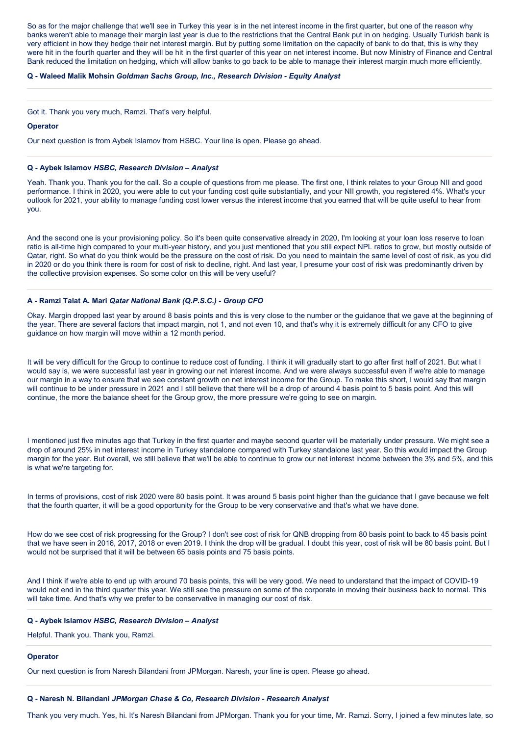So as for the major challenge that we'll see in Turkey this year is in the net interest income in the first quarter, but one of the reason why banks weren't able to manage their margin last year is due to the restrictions that the Central Bank put in on hedging. Usually Turkish bank is very efficient in how they hedge their net interest margin. But by putting some limitation on the capacity of bank to do that, this is why they were hit in the fourth quarter and they will be hit in the first quarter of this year on net interest income. But now Ministry of Finance and Central Bank reduced the limitation on hedging, which will allow banks to go back to be able to manage their interest margin much more efficiently.

### **Q - Waleed Malik Mohsin** *Goldman Sachs Group, Inc., Research Division - Equity Analyst*

Got it. Thank you very much, Ramzi. That's very helpful.

### **Operator**

Our next question is from Aybek Islamov from HSBC. Your line is open. Please go ahead.

## **Q - Aybek Islamov** *HSBC, Research Division – Analyst*

Yeah. Thank you. Thank you for the call. So a couple of questions from me please. The first one, I think relates to your Group NII and good performance. I think in 2020, you were able to cut your funding cost quite substantially, and your NII growth, you registered 4%. What's your outlook for 2021, your ability to manage funding cost lower versus the interest income that you earned that will be quite useful to hear from you.

And the second one is your provisioning policy. So it's been quite conservative already in 2020, I'm looking at your loan loss reserve to loan ratio is all-time high compared to your multi-year history, and you just mentioned that you still expect NPL ratios to grow, but mostly outside of Qatar, right. So what do you think would be the pressure on the cost of risk. Do you need to maintain the same level of cost of risk, as you did in 2020 or do you think there is room for cost of risk to decline, right. And last year, I presume your cost of risk was predominantly driven by the collective provision expenses. So some color on this will be very useful?

### **A - Ramzi Talat A. Mari** *Qatar National Bank (Q.P.S.C.) - Group CFO*

Okay. Margin dropped last year by around 8 basis points and this is very close to the number or the guidance that we gave at the beginning of the year. There are several factors that impact margin, not 1, and not even 10, and that's why it is extremely difficult for any CFO to give guidance on how margin will move within a 12 month period.

It will be very difficult for the Group to continue to reduce cost of funding. I think it will gradually start to go after first half of 2021. But what I would say is, we were successful last year in growing our net interest income. And we were always successful even if we're able to manage our margin in a way to ensure that we see constant growth on net interest income for the Group. To make this short, I would say that margin will continue to be under pressure in 2021 and I still believe that there will be a drop of around 4 basis point to 5 basis point. And this will continue, the more the balance sheet for the Group grow, the more pressure we're going to see on margin.

I mentioned just five minutes ago that Turkey in the first quarter and maybe second quarter will be materially under pressure. We might see a drop of around 25% in net interest income in Turkey standalone compared with Turkey standalone last year. So this would impact the Group margin for the year. But overall, we still believe that we'll be able to continue to grow our net interest income between the 3% and 5%, and this is what we're targeting for.

In terms of provisions, cost of risk 2020 were 80 basis point. It was around 5 basis point higher than the guidance that I gave because we felt that the fourth quarter, it will be a good opportunity for the Group to be very conservative and that's what we have done.

How do we see cost of risk progressing for the Group? I don't see cost of risk for QNB dropping from 80 basis point to back to 45 basis point that we have seen in 2016, 2017, 2018 or even 2019. I think the drop will be gradual. I doubt this year, cost of risk will be 80 basis point. But I would not be surprised that it will be between 65 basis points and 75 basis points.

And I think if we're able to end up with around 70 basis points, this will be very good. We need to understand that the impact of COVID-19 would not end in the third quarter this year. We still see the pressure on some of the corporate in moving their business back to normal. This will take time. And that's why we prefer to be conservative in managing our cost of risk.

### **Q - Aybek Islamov** *HSBC, Research Division – Analyst*

Helpful. Thank you. Thank you, Ramzi.

### **Operator**

Our next question is from Naresh Bilandani from JPMorgan. Naresh, your line is open. Please go ahead.

### **Q - Naresh N. Bilandani** *JPMorgan Chase & Co, Research Division - Research Analyst*

Thank you very much. Yes, hi. It's Naresh Bilandani from JPMorgan. Thank you for your time, Mr. Ramzi. Sorry, I joined a few minutes late, so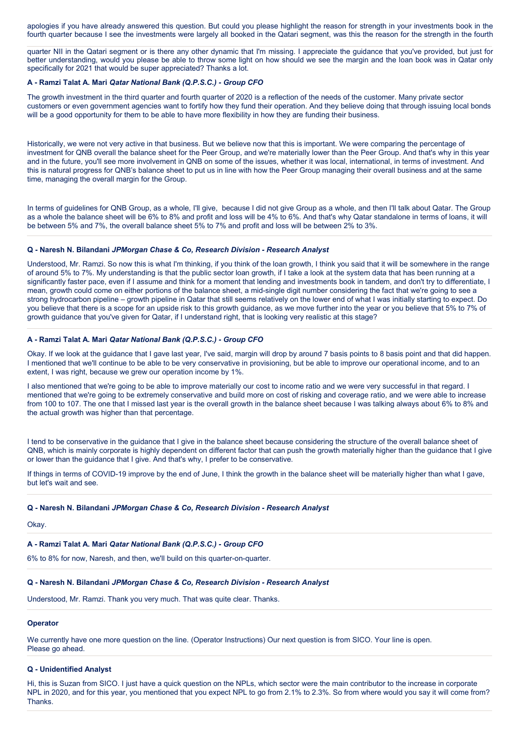apologies if you have already answered this question. But could you please highlight the reason for strength in your investments book in the fourth quarter because I see the investments were largely all booked in the Qatari segment, was this the reason for the strength in the fourth

quarter NII in the Qatari segment or is there any other dynamic that I'm missing. I appreciate the guidance that you've provided, but just for better understanding, would you please be able to throw some light on how should we see the margin and the loan book was in Qatar only specifically for 2021 that would be super appreciated? Thanks a lot.

## **A - Ramzi Talat A. Mari** *Qatar National Bank (Q.P.S.C.) - Group CFO*

The growth investment in the third quarter and fourth quarter of 2020 is a reflection of the needs of the customer. Many private sector customers or even government agencies want to fortify how they fund their operation. And they believe doing that through issuing local bonds will be a good opportunity for them to be able to have more flexibility in how they are funding their business.

Historically, we were not very active in that business. But we believe now that this is important. We were comparing the percentage of investment for QNB overall the balance sheet for the Peer Group, and we're materially lower than the Peer Group. And that's why in this year and in the future, you'll see more involvement in QNB on some of the issues, whether it was local, international, in terms of investment. And this is natural progress for QNB's balance sheet to put us in line with how the Peer Group managing their overall business and at the same time, managing the overall margin for the Group.

In terms of guidelines for QNB Group, as a whole, I'll give, because I did not give Group as a whole, and then I'll talk about Qatar. The Group as a whole the balance sheet will be 6% to 8% and profit and loss will be 4% to 6%. And that's why Qatar standalone in terms of loans, it will be between 5% and 7%, the overall balance sheet 5% to 7% and profit and loss will be between 2% to 3%.

#### **Q - Naresh N. Bilandani** *JPMorgan Chase & Co, Research Division - Research Analyst*

Understood, Mr. Ramzi. So now this is what I'm thinking, if you think of the loan growth, I think you said that it will be somewhere in the range of around 5% to 7%. My understanding is that the public sector loan growth, if I take a look at the system data that has been running at a significantly faster pace, even if I assume and think for a moment that lending and investments book in tandem, and don't try to differentiate, I mean, growth could come on either portions of the balance sheet, a mid-single digit number considering the fact that we're going to see a strong hydrocarbon pipeline – growth pipeline in Qatar that still seems relatively on the lower end of what I was initially starting to expect. Do you believe that there is a scope for an upside risk to this growth guidance, as we move further into the year or you believe that 5% to 7% of growth guidance that you've given for Qatar, if I understand right, that is looking very realistic at this stage?

### **A - Ramzi Talat A. Mari** *Qatar National Bank (Q.P.S.C.) - Group CFO*

Okay. If we look at the guidance that I gave last year, I've said, margin will drop by around 7 basis points to 8 basis point and that did happen. I mentioned that we'll continue to be able to be very conservative in provisioning, but be able to improve our operational income, and to an extent, I was right, because we grew our operation income by 1%.

I also mentioned that we're going to be able to improve materially our cost to income ratio and we were very successful in that regard. I mentioned that we're going to be extremely conservative and build more on cost of risking and coverage ratio, and we were able to increase from 100 to 107. The one that I missed last year is the overall growth in the balance sheet because I was talking always about 6% to 8% and the actual growth was higher than that percentage.

I tend to be conservative in the guidance that I give in the balance sheet because considering the structure of the overall balance sheet of QNB, which is mainly corporate is highly dependent on different factor that can push the growth materially higher than the guidance that I give or lower than the guidance that I give. And that's why, I prefer to be conservative.

If things in terms of COVID-19 improve by the end of June, I think the growth in the balance sheet will be materially higher than what I gave, but let's wait and see.

#### **Q - Naresh N. Bilandani** *JPMorgan Chase & Co, Research Division - Research Analyst*

Okay.

## **A - Ramzi Talat A. Mari** *Qatar National Bank (Q.P.S.C.) - Group CFO*

6% to 8% for now, Naresh, and then, we'll build on this quarter-on-quarter.

## **Q - Naresh N. Bilandani** *JPMorgan Chase & Co, Research Division - Research Analyst*

Understood, Mr. Ramzi. Thank you very much. That was quite clear. Thanks.

## **Operator**

We currently have one more question on the line. (Operator Instructions) Our next question is from SICO. Your line is open. Please go ahead.

## **Q - Unidentified Analyst**

Hi, this is Suzan from SICO. I just have a quick question on the NPLs, which sector were the main contributor to the increase in corporate NPL in 2020, and for this year, you mentioned that you expect NPL to go from 2.1% to 2.3%. So from where would you say it will come from? Thanks.